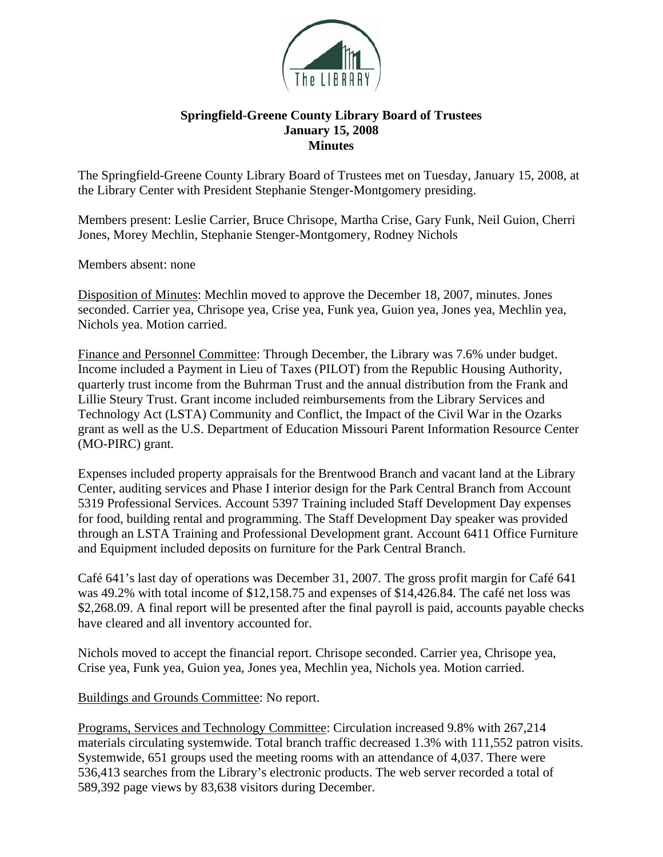

## **Springfield-Greene County Library Board of Trustees January 15, 2008 Minutes**

The Springfield-Greene County Library Board of Trustees met on Tuesday, January 15, 2008, at the Library Center with President Stephanie Stenger-Montgomery presiding.

Members present: Leslie Carrier, Bruce Chrisope, Martha Crise, Gary Funk, Neil Guion, Cherri Jones, Morey Mechlin, Stephanie Stenger-Montgomery, Rodney Nichols

Members absent: none

Disposition of Minutes: Mechlin moved to approve the December 18, 2007, minutes. Jones seconded. Carrier yea, Chrisope yea, Crise yea, Funk yea, Guion yea, Jones yea, Mechlin yea, Nichols yea. Motion carried.

Finance and Personnel Committee: Through December, the Library was 7.6% under budget. Income included a Payment in Lieu of Taxes (PILOT) from the Republic Housing Authority, quarterly trust income from the Buhrman Trust and the annual distribution from the Frank and Lillie Steury Trust. Grant income included reimbursements from the Library Services and Technology Act (LSTA) Community and Conflict, the Impact of the Civil War in the Ozarks grant as well as the U.S. Department of Education Missouri Parent Information Resource Center (MO-PIRC) grant.

Expenses included property appraisals for the Brentwood Branch and vacant land at the Library Center, auditing services and Phase I interior design for the Park Central Branch from Account 5319 Professional Services. Account 5397 Training included Staff Development Day expenses for food, building rental and programming. The Staff Development Day speaker was provided through an LSTA Training and Professional Development grant. Account 6411 Office Furniture and Equipment included deposits on furniture for the Park Central Branch.

Café 641's last day of operations was December 31, 2007. The gross profit margin for Café 641 was 49.2% with total income of \$12,158.75 and expenses of \$14,426.84. The café net loss was \$2,268.09. A final report will be presented after the final payroll is paid, accounts payable checks have cleared and all inventory accounted for.

Nichols moved to accept the financial report. Chrisope seconded. Carrier yea, Chrisope yea, Crise yea, Funk yea, Guion yea, Jones yea, Mechlin yea, Nichols yea. Motion carried.

## Buildings and Grounds Committee: No report.

Programs, Services and Technology Committee: Circulation increased 9.8% with 267,214 materials circulating systemwide. Total branch traffic decreased 1.3% with 111,552 patron visits. Systemwide, 651 groups used the meeting rooms with an attendance of 4,037. There were 536,413 searches from the Library's electronic products. The web server recorded a total of 589,392 page views by 83,638 visitors during December.